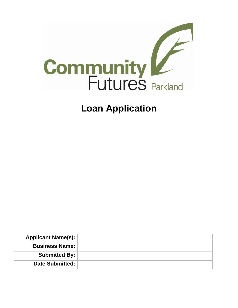

# **Loan Application**

| <b>Applicant Name(s):</b> |  |
|---------------------------|--|
| <b>Business Name:</b>     |  |
| <b>Submitted By:</b>      |  |
| <b>Date Submitted:</b>    |  |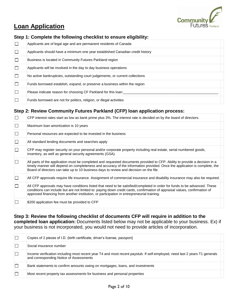

# **Loan Application**

| Step 1: Complete the following checklist to ensure eligibility: |  |  |  |  |  |  |
|-----------------------------------------------------------------|--|--|--|--|--|--|
|-----------------------------------------------------------------|--|--|--|--|--|--|

| $\Box$ | Applicants are of legal age and are permanent residents of Canada             |  |
|--------|-------------------------------------------------------------------------------|--|
| $\Box$ | Applicants should have a minimum one year established Canadian credit history |  |
| $\Box$ | Business is located in Community Futures Parkland region                      |  |
| $\Box$ | Applicants will be involved in the day to day business operations             |  |
| $\Box$ | No active bankruptcies, outstanding court judgements, or current collections  |  |
| $\Box$ | Funds borrowed establish, expand, or preserve a business within the region    |  |
| $\Box$ | Please indicate reason for choosing CF Parkland for this loan:                |  |
| $\Box$ | Funds borrowed are not for politics, religion, or illegal activities          |  |

### **Step 2: Review Community Futures Parkland (CFP) loan application process:**

| $\Box$ | CFP interest rates start as low as bank prime plus 3%. The interest rate is decided on by the board of directors.                                                                                                                                                                                                                                     |  |
|--------|-------------------------------------------------------------------------------------------------------------------------------------------------------------------------------------------------------------------------------------------------------------------------------------------------------------------------------------------------------|--|
| $\Box$ | Maximum loan amortization is 10 years                                                                                                                                                                                                                                                                                                                 |  |
| $\Box$ | Personal resources are expected to be invested in the business                                                                                                                                                                                                                                                                                        |  |
| $\Box$ | All standard lending documents and searches apply                                                                                                                                                                                                                                                                                                     |  |
| $\Box$ | CFP may register security on your personal and/or corporate property including real estate, serial numbered goods,<br>inventory, as well as general security agreements (GSA).                                                                                                                                                                        |  |
|        | All parts of the application must be completed and requested documents provided to CFP. Ability to provide a decision in a<br>timely manner will depend on completeness and accuracy of the information provided. Once the application is complete, the<br>Board of directors can take up to 10 business days to review and decision on the file.     |  |
| $\Box$ | All CFP approvals require life insurance. Assignment of commercial insurance and disability insurance may also be required.                                                                                                                                                                                                                           |  |
|        | All CFP approvals may have conditions listed that need to be satisfied/completed in order for funds to be advanced. These<br>conditions can include but are not limited to: paying down credit cards, confirmation of appraisal values, confirmation of<br>approved financing from another institution, or participation in entrepreneurial training. |  |
|        | \$200 application fee must be provided to CFP                                                                                                                                                                                                                                                                                                         |  |

**Step 3: Review the following checklist of documents CFP will require in addition to the completed loan application:** Documents listed below may not be applicable to your business. Ex) if your business is not incorporated, you would not need to provide articles of incorporation.

|         | Copies of 2 pieces of I.D. (birth certificate, driver's license, passport)                                                                                            |  |
|---------|-----------------------------------------------------------------------------------------------------------------------------------------------------------------------|--|
|         | Social insurance number                                                                                                                                               |  |
| $\perp$ | Income verification including most recent year T4 and most recent paystub. If self-employed, need last 2 years T1 generals<br>and corresponding Notice of Assessments |  |
|         | Bank statements to confirm amounts owing on mortgages, loans, and investments                                                                                         |  |
|         | Most recent property tax assessments for business and personal properties                                                                                             |  |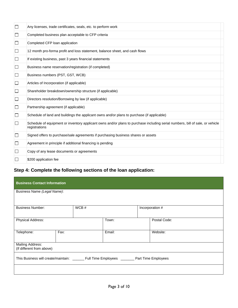| $\Box$ | Any licenses, trade certificates, seals, etc. to perform work                                                                                  |  |
|--------|------------------------------------------------------------------------------------------------------------------------------------------------|--|
| ப      | Completed business plan acceptable to CFP criteria                                                                                             |  |
| $\Box$ | Completed CFP loan application                                                                                                                 |  |
| ⊔      | 12 month pro-forma profit and loss statement, balance sheet, and cash flows                                                                    |  |
| $\Box$ | If existing business, past 3 years financial statements                                                                                        |  |
| ப      | Business name reservation/registration (if completed)                                                                                          |  |
| $\Box$ | Business numbers (PST, GST, WCB)                                                                                                               |  |
| ⊔      | Articles of Incorporation (if applicable)                                                                                                      |  |
| ⊔      | Shareholder breakdown/ownership structure (if applicable)                                                                                      |  |
| $\Box$ | Directors resolution/Borrowing by law (if applicable)                                                                                          |  |
| ⊔      | Partnership agreement (if applicable)                                                                                                          |  |
| $\Box$ | Schedule of land and buildings the applicant owns and/or plans to purchase (if applicable)                                                     |  |
| $\Box$ | Schedule of equipment or inventory applicant owns and/or plans to purchase including serial numbers, bill of sale, or vehicle<br>registrations |  |
| ⊔      | Signed offers to purchase/sale agreements if purchasing business shares or assets                                                              |  |
| ⊔      | Agreement in principle if additional financing is pending                                                                                      |  |
|        | Copy of any lease documents or agreements                                                                                                      |  |
|        | \$200 application fee                                                                                                                          |  |

## **Step 4: Complete the following sections of the loan application:**

| <b>Business Contact Information</b>                                                         |  |  |        |  |                 |  |  |
|---------------------------------------------------------------------------------------------|--|--|--------|--|-----------------|--|--|
| Business Name (Legal Name):                                                                 |  |  |        |  |                 |  |  |
| WCB#<br><b>Business Number:</b>                                                             |  |  |        |  | Incorporation # |  |  |
| Physical Address:                                                                           |  |  | Town:  |  | Postal Code:    |  |  |
| Fax:<br>Telephone:                                                                          |  |  | Email: |  | Website:        |  |  |
| <b>Mailing Address:</b><br>(If different from above)                                        |  |  |        |  |                 |  |  |
| This Business will create/maintain: _______ Full Time Employees _______ Part Time Employees |  |  |        |  |                 |  |  |
|                                                                                             |  |  |        |  |                 |  |  |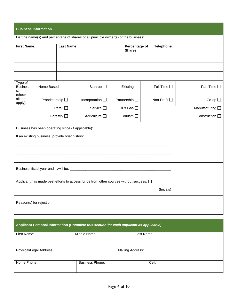|                                 | <b>Business Information</b>                                                          |                  |                                                                                            |  |                        |  |                     |                        |  |                 |
|---------------------------------|--------------------------------------------------------------------------------------|------------------|--------------------------------------------------------------------------------------------|--|------------------------|--|---------------------|------------------------|--|-----------------|
|                                 | List the name(s) and percentage of shares of all principle owner(s) of the business: |                  |                                                                                            |  |                        |  |                     |                        |  |                 |
| <b>First Name:</b>              |                                                                                      | Telephone:       |                                                                                            |  |                        |  |                     |                        |  |                 |
|                                 |                                                                                      |                  |                                                                                            |  |                        |  |                     |                        |  |                 |
|                                 |                                                                                      |                  |                                                                                            |  |                        |  |                     |                        |  |                 |
|                                 |                                                                                      |                  |                                                                                            |  |                        |  |                     |                        |  |                 |
| Type of<br><b>Busines</b><br>s: | Home Based O                                                                         |                  | Start up $\square$                                                                         |  | Existing $\square$     |  | Full Time $\square$ | Part Time <sup>1</sup> |  |                 |
| (check<br>all that<br>apply)    | Proprietorship <sup>[]</sup>                                                         |                  | Incorporation $\square$                                                                    |  | Partnership $\square$  |  | Non-Profit □        | $Co$ -op $\Box$        |  |                 |
|                                 |                                                                                      | Retail $\square$ | Service <sup>[]</sup>                                                                      |  | Oil & Gas $\square$    |  |                     |                        |  | Manufacturing [ |
|                                 | Agriculture $\square$<br>Tourism $\square$<br>Forestry $\square$                     |                  |                                                                                            |  | Construction $\square$ |  |                     |                        |  |                 |
|                                 |                                                                                      |                  | Business has been operating since (if applicable): _____________________________           |  |                        |  |                     |                        |  |                 |
|                                 |                                                                                      |                  |                                                                                            |  |                        |  |                     |                        |  |                 |
|                                 |                                                                                      |                  |                                                                                            |  |                        |  |                     |                        |  |                 |
|                                 |                                                                                      |                  |                                                                                            |  |                        |  |                     |                        |  |                 |
|                                 |                                                                                      |                  |                                                                                            |  |                        |  |                     |                        |  |                 |
|                                 |                                                                                      |                  |                                                                                            |  |                        |  |                     |                        |  |                 |
|                                 |                                                                                      |                  | Applicant has made best efforts to access funds from other sources without success. $\Box$ |  |                        |  |                     |                        |  |                 |
|                                 | (Initials)                                                                           |                  |                                                                                            |  |                        |  |                     |                        |  |                 |
|                                 | Reason(s) for rejection:                                                             |                  |                                                                                            |  |                        |  |                     |                        |  |                 |

| Applicant Personal Information (Complete this section for each applicant as applicable) |                        |                  |       |  |  |  |
|-----------------------------------------------------------------------------------------|------------------------|------------------|-------|--|--|--|
| First Name:                                                                             | Middle Name:           | Last Name:       |       |  |  |  |
| Physical/Legal Address:                                                                 |                        | Mailing Address: |       |  |  |  |
| Home Phone:                                                                             | <b>Business Phone:</b> |                  | Cell: |  |  |  |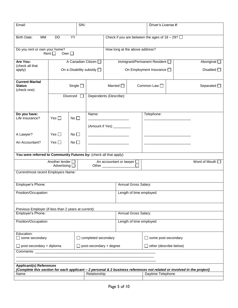| SIN:<br>Email:                                                                                                                 |                                           |                  | Driver's License #:               |                                                                 |                                |                                                  |  |                         |
|--------------------------------------------------------------------------------------------------------------------------------|-------------------------------------------|------------------|-----------------------------------|-----------------------------------------------------------------|--------------------------------|--------------------------------------------------|--|-------------------------|
| MM<br><b>Birth Date:</b>                                                                                                       | <b>DD</b>                                 | YY               |                                   |                                                                 |                                | Check if you are between the ages of $18 - 29$ ? |  |                         |
| Do you rent or own your home?<br>Rent $\Box$<br>Own $\square$                                                                  |                                           |                  |                                   |                                                                 | How long at the above address? |                                                  |  |                         |
| Are You:<br>(check all that                                                                                                    |                                           |                  | A Canadian Citizen                |                                                                 |                                | Immigrant/Permanent Resident                     |  | Aboriginal $\square$    |
| apply):                                                                                                                        |                                           |                  | On a Disability subsidy $\square$ |                                                                 |                                | On Employment Insurance [                        |  | Disabled $\Box$         |
| <b>Current Marital</b><br><b>Status</b><br>(check one):                                                                        |                                           | Single $\square$ | Married $\Box$                    |                                                                 |                                | Common Law □                                     |  | Separated $\square$     |
|                                                                                                                                |                                           | Divorced         |                                   | Dependents (Describe):                                          |                                |                                                  |  |                         |
| Do you have:                                                                                                                   |                                           |                  | Name:                             |                                                                 |                                | Telephone:                                       |  |                         |
| Life Insurance?                                                                                                                | Yes $\Box$                                | $No \square$     |                                   |                                                                 |                                |                                                  |  |                         |
|                                                                                                                                |                                           |                  |                                   | (Amount if Yes) __________                                      |                                |                                                  |  |                         |
| A Lawyer?                                                                                                                      | Yes $\Box$                                | No $\square$     |                                   |                                                                 |                                |                                                  |  |                         |
| An Accountant?                                                                                                                 | Yes $\Box$<br>No $\square$                |                  |                                   |                                                                 |                                |                                                  |  |                         |
| You were referred to Community Futures by: (check all that apply)                                                              |                                           |                  |                                   |                                                                 |                                |                                                  |  |                         |
|                                                                                                                                | Another lender [<br>Advertising $\square$ |                  |                                   | An accountant or lawyer $\square$<br>Other ____________________ | $\overline{\Box}$              |                                                  |  | Word of Mouth $\square$ |
| Current/most recent Employers Name:                                                                                            |                                           |                  |                                   |                                                                 |                                |                                                  |  |                         |
| Employer's Phone:                                                                                                              |                                           |                  |                                   |                                                                 | Annual Gross Salary:           |                                                  |  |                         |
| Position/Occupation:                                                                                                           |                                           |                  |                                   | Length of time employed:                                        |                                |                                                  |  |                         |
| Previous Employer (if less than 2 years at current):                                                                           |                                           |                  |                                   |                                                                 |                                |                                                  |  |                         |
| Employer's Phone:                                                                                                              |                                           |                  | Annual Gross Salary:              |                                                                 |                                |                                                  |  |                         |
| Position/Occupation:                                                                                                           |                                           |                  |                                   | Length of time employed:                                        |                                |                                                  |  |                         |
| Education:<br>some secondary<br>$\Box$ completed secondary                                                                     |                                           |                  |                                   |                                                                 |                                | □ some post-secondary                            |  |                         |
| $\Box$ post-secondary + degree<br>$\Box$ post-secondary + diploma                                                              |                                           |                  |                                   |                                                                 | $\Box$ other (describe below)  |                                                  |  |                         |
| Comments:                                                                                                                      |                                           |                  |                                   |                                                                 |                                |                                                  |  |                         |
| <b>Applicant(s) References</b>                                                                                                 |                                           |                  |                                   |                                                                 |                                |                                                  |  |                         |
| (Complete this section for each applicant - 2 personal & 2 business references not related or involved in the project)<br>Name |                                           |                  | Relationship                      |                                                                 |                                | Daytime Telephone                                |  |                         |
|                                                                                                                                |                                           |                  |                                   |                                                                 |                                |                                                  |  |                         |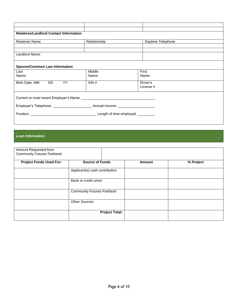| <b>Relatives/Landlord Contact Information</b> |              |                   |  |  |  |  |  |  |
|-----------------------------------------------|--------------|-------------------|--|--|--|--|--|--|
|                                               |              |                   |  |  |  |  |  |  |
| <b>Relatives Name</b>                         | Relationship | Daytime Telephone |  |  |  |  |  |  |
|                                               |              |                   |  |  |  |  |  |  |
|                                               |              |                   |  |  |  |  |  |  |
| Landlord Name:                                |              |                   |  |  |  |  |  |  |
|                                               |              |                   |  |  |  |  |  |  |
|                                               |              |                   |  |  |  |  |  |  |
| <b>Spouse/Common Law Information</b>          |              |                   |  |  |  |  |  |  |
| Last                                          | Middle       | First             |  |  |  |  |  |  |
| Name:                                         | Name:        | Name:             |  |  |  |  |  |  |
|                                               |              |                   |  |  |  |  |  |  |
| Birth Date: MM DD YY                          | SIN#         | Driver's          |  |  |  |  |  |  |
|                                               |              | License #         |  |  |  |  |  |  |
|                                               |              |                   |  |  |  |  |  |  |
|                                               |              |                   |  |  |  |  |  |  |
|                                               |              |                   |  |  |  |  |  |  |
|                                               |              |                   |  |  |  |  |  |  |
|                                               |              |                   |  |  |  |  |  |  |
|                                               |              |                   |  |  |  |  |  |  |
|                                               |              |                   |  |  |  |  |  |  |
|                                               |              |                   |  |  |  |  |  |  |

#### **Loan Information**

| Amount Requested from<br><b>Community Futures Parkland:</b> |                                   |        |           |
|-------------------------------------------------------------|-----------------------------------|--------|-----------|
| <b>Project Funds Used For:</b>                              | <b>Source of Funds</b>            | Amount | % Project |
|                                                             | Applicant(s) cash contribution    |        |           |
|                                                             | Bank or credit union              |        |           |
|                                                             | <b>Community Futures Parkland</b> |        |           |
|                                                             | <b>Other Sources</b>              |        |           |
|                                                             | <b>Project Total:</b>             |        |           |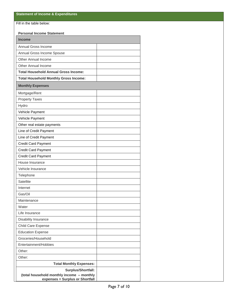Fill in the table below:

#### **Personal Income Statement**

| <b>Income</b>                                                                |  |
|------------------------------------------------------------------------------|--|
| Annual Gross Income                                                          |  |
| Annual Gross Income Spouse                                                   |  |
| Other Annual Income                                                          |  |
| Other Annual Income                                                          |  |
| <b>Total Household Annual Gross Income:</b>                                  |  |
| <b>Total Household Monthly Gross Income:</b>                                 |  |
| <b>Monthly Expenses</b>                                                      |  |
| Mortgage/Rent                                                                |  |
| <b>Property Taxes</b>                                                        |  |
| Hydro                                                                        |  |
| Vehicle Payment                                                              |  |
| Vehicle Payment                                                              |  |
| Other real estate payments                                                   |  |
| Line of Credit Payment                                                       |  |
| Line of Credit Payment                                                       |  |
| <b>Credit Card Payment</b>                                                   |  |
| <b>Credit Card Payment</b>                                                   |  |
| <b>Credit Card Payment</b>                                                   |  |
| House Insurance                                                              |  |
| Vehicle Insurance                                                            |  |
| Telephone                                                                    |  |
| Satellite                                                                    |  |
| Internet                                                                     |  |
| Gas/Oil                                                                      |  |
| Maintenance                                                                  |  |
| Water                                                                        |  |
| Life Insurance                                                               |  |
| Disability Insurance                                                         |  |
| Child Care Expense                                                           |  |
| <b>Education Expense</b>                                                     |  |
| Groceries/Household                                                          |  |
| Entertainment/Hobbies                                                        |  |
| Other:                                                                       |  |
| Other:                                                                       |  |
| <b>Total Monthly Expenses:</b>                                               |  |
| Surplus/Shortfall:                                                           |  |
| (total household monthly income - monthly<br>expenses = Surplus or Shortfall |  |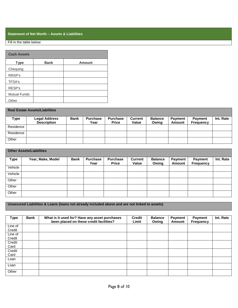#### **Statement of Net Worth – Assets & Liabilities**

#### Fill in the table below:

| <b>Cash Assets</b>  |             |               |  |  |  |  |  |
|---------------------|-------------|---------------|--|--|--|--|--|
| <b>Type</b>         | <b>Bank</b> | <b>Amount</b> |  |  |  |  |  |
| Chequing            |             |               |  |  |  |  |  |
| RRSP's              |             |               |  |  |  |  |  |
| <b>TFSA's</b>       |             |               |  |  |  |  |  |
| RESP's              |             |               |  |  |  |  |  |
| <b>Mutual Funds</b> |             |               |  |  |  |  |  |
| Other               |             |               |  |  |  |  |  |

| <b>Real Estate Assets/Liabilities</b> |                                            |             |                         |                                 |                         |                         |                          |                             |           |
|---------------------------------------|--------------------------------------------|-------------|-------------------------|---------------------------------|-------------------------|-------------------------|--------------------------|-----------------------------|-----------|
| Type                                  | <b>Legal Address</b><br><b>Description</b> | <b>Bank</b> | <b>Purchase</b><br>Year | <b>Purchase</b><br><b>Price</b> | <b>Current</b><br>Value | <b>Balance</b><br>Owina | <b>Payment</b><br>Amount | <b>Payment</b><br>Frequency | Int. Rate |
| Residence                             |                                            |             |                         |                                 |                         |                         |                          |                             |           |
| Residence                             |                                            |             |                         |                                 |                         |                         |                          |                             |           |
| Other                                 |                                            |             |                         |                                 |                         |                         |                          |                             |           |

| <b>Other Assets/Liabilities</b> |                   |             |                         |                                 |                         |                         |                          |                             |           |
|---------------------------------|-------------------|-------------|-------------------------|---------------------------------|-------------------------|-------------------------|--------------------------|-----------------------------|-----------|
| <b>Type</b>                     | Year, Make, Model | <b>Bank</b> | <b>Purchase</b><br>Year | <b>Purchase</b><br><b>Price</b> | <b>Current</b><br>Value | <b>Balance</b><br>Owing | <b>Payment</b><br>Amount | Payment<br><b>Frequency</b> | Int. Rate |
| Vehicle                         |                   |             |                         |                                 |                         |                         |                          |                             |           |
| Vehicle                         |                   |             |                         |                                 |                         |                         |                          |                             |           |
| Other                           |                   |             |                         |                                 |                         |                         |                          |                             |           |
| Other                           |                   |             |                         |                                 |                         |                         |                          |                             |           |
| Other                           |                   |             |                         |                                 |                         |                         |                          |                             |           |

### **Unsecured Liabilities & Loans (loans not already included above and are not linked to assets)**

| Type    | <b>Bank</b> | What is it used for? Have any asset purchases<br>been placed on these credit facilities? | <b>Credit</b><br>Limit | <b>Balance</b><br>Owing | <b>Payment</b><br>Amount | <b>Payment</b><br><b>Frequency</b> | Int. Rate |
|---------|-------------|------------------------------------------------------------------------------------------|------------------------|-------------------------|--------------------------|------------------------------------|-----------|
| Line of |             |                                                                                          |                        |                         |                          |                                    |           |
| Credit  |             |                                                                                          |                        |                         |                          |                                    |           |
| Line of |             |                                                                                          |                        |                         |                          |                                    |           |
| Credit  |             |                                                                                          |                        |                         |                          |                                    |           |
| Credit  |             |                                                                                          |                        |                         |                          |                                    |           |
| Card    |             |                                                                                          |                        |                         |                          |                                    |           |
| Credit  |             |                                                                                          |                        |                         |                          |                                    |           |
| Card    |             |                                                                                          |                        |                         |                          |                                    |           |
| Loan    |             |                                                                                          |                        |                         |                          |                                    |           |
| Loan    |             |                                                                                          |                        |                         |                          |                                    |           |
| Other   |             |                                                                                          |                        |                         |                          |                                    |           |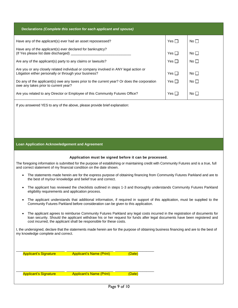| Declarations (Complete this section for each applicant and spouse)                                                                                                                                            |            |                 |  |  |  |  |
|---------------------------------------------------------------------------------------------------------------------------------------------------------------------------------------------------------------|------------|-----------------|--|--|--|--|
| Have any of the applicant(s) ever had an asset repossessed?                                                                                                                                                   | Yes $\Box$ | No <sub>1</sub> |  |  |  |  |
| Have any of the applicant(s) ever declared for bankruptcy?                                                                                                                                                    | Yes $\Box$ | No <sub>1</sub> |  |  |  |  |
| Are any of the applicant(s) party to any claims or lawsuits?                                                                                                                                                  | Yes $\Box$ | No <sub>1</sub> |  |  |  |  |
| Are you or any closely related individual or company involved in ANY legal action or<br>Litigation either personally or through your business?                                                                | Yes $\Box$ | $No \Box$       |  |  |  |  |
| Do any of the applicant(s) owe any taxes prior to the current year? Or does the corporation<br>owe any takes prior to current year?                                                                           | Yes $\Box$ | No <sub>1</sub> |  |  |  |  |
| Are you related to any Director or Employee of this Community Futures Office?                                                                                                                                 | Yes $\Box$ | No <sub>1</sub> |  |  |  |  |
| If you answered YES to any of the above, please provide brief explanation:                                                                                                                                    |            |                 |  |  |  |  |
|                                                                                                                                                                                                               |            |                 |  |  |  |  |
|                                                                                                                                                                                                               |            |                 |  |  |  |  |
| <b>Loan Application Acknowledgement and Agreement</b>                                                                                                                                                         |            |                 |  |  |  |  |
| Application must be signed before it can be processed.                                                                                                                                                        |            |                 |  |  |  |  |
| The foregoing information is submitted for the purpose of establishing or maintaining credit with Community Futures and is a true, full<br>and correct statement of my financial condition on the date shown. |            |                 |  |  |  |  |
| The statements made herein are for the express purpose of obtaining financing from Community Futures Parkland and are to<br>$\bullet$<br>the best of my/our knowledge and belief true and correct.            |            |                 |  |  |  |  |

- The applicant has reviewed the checklists outlined in steps 1-3 and thoroughly understands Community Futures Parkland eligibility requirements and application process.
- The applicant understands that additional information, if required in support of this application, must be supplied to the Community Futures Parkland before consideration can be given to this application.
- The applicant agrees to reimburse Community Futures Parkland any legal costs incurred in the registration of documents for loan security. Should the applicant withdraw his or her request for funds after legal documents have been registered and cost incurred, the applicant shall be responsible for these costs.

I, the undersigned, declare that the statements made herein are for the purpose of obtaining business financing and are to the best of my knowledge complete and correct.

\_\_\_\_\_\_\_\_\_\_\_\_\_\_\_\_\_\_\_\_\_\_\_\_\_ \_\_\_\_\_\_\_\_\_\_\_\_\_\_\_\_\_\_\_\_\_\_\_\_ \_\_\_\_\_\_\_\_\_\_\_\_\_\_\_\_\_\_\_\_ Applicant's Signature **Applicant's Name (Print)** (Date)

\_\_\_\_\_\_\_\_\_\_\_\_\_\_\_\_\_\_\_\_\_\_\_\_\_ \_\_\_\_\_\_\_\_\_\_\_\_\_\_\_\_\_\_\_\_\_\_\_\_ \_\_\_\_\_\_\_\_\_\_\_\_\_\_\_\_\_\_\_\_

Applicant's Signature **Applicant's Name (Print)** (Date)